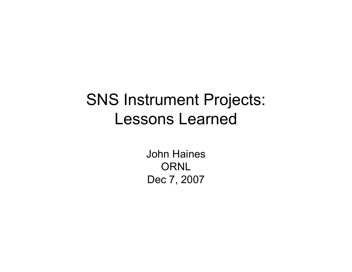#### SNS Instrument Projects: Lessons Learned

John Haines ORNL Dec 7, 2007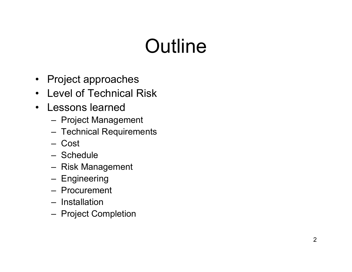## **Outline**

- Project approaches
- Level of Technical Risk
- Lessons learned
	- Project Management
	- Technical Requirements
	- Cost
	- Schedule
	- Risk Management
	- **Engineering**
	- Procurement
	- Installation
	- Project Completion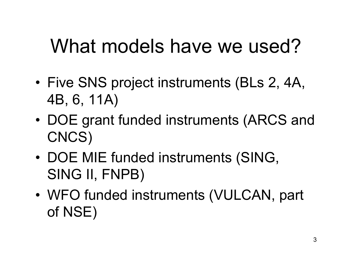## What models have we used?

- • Five SNS project instruments (BLs 2, 4A, 4B, 6, 11A)
- • DOE grant funded instruments (ARCS and CNCS)
- • DOE MIE funded instruments (SING, SING II, FNPB)
- • WFO funded instruments (VULCAN, part of NSE)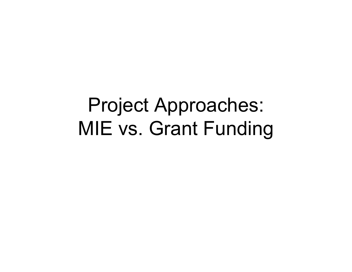## Project Approaches: MIE vs. Grant Funding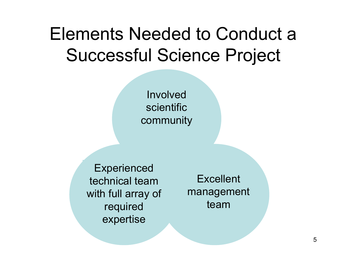#### Elements Needed to Conduct a Successful Science Project

Involved scientific community

**Experienced** technical team with full array of required expertise

**Excellent** management team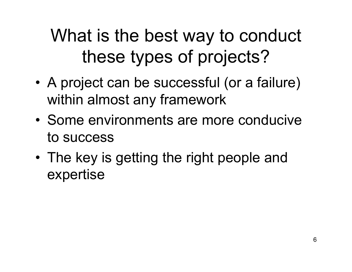#### What is the best way to conduct these types of projects?

- • A project can be successful (or a failure) within almost any framework
- Some environments are more conducive to success
- The key is getting the right people and expertise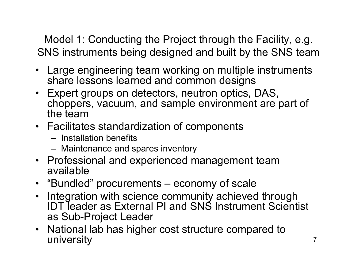Model 1: Conducting the Project through the Facility, e.g. SNS instruments being designed and built by the SNS team

- Large engineering team working on multiple instruments share lessons learned and common designs
- Expert groups on detectors, neutron optics, DAS, choppers, vacuum, and sample environment are part of the team
- Facilitates standardization of components
	- Installation benefits
	- Maintenance and spares inventory
- Professional and experienced management team available
- "Bundled" procurements economy of scale
- Integration with science community achieved through IDT leader as External PI and SNS Instrument Scientist as Sub-Project Leader
- National lab has higher cost structure compared to university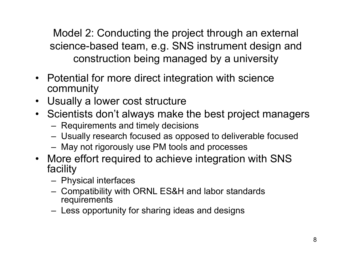Model 2: Conducting the project through an external science-based team, e.g. SNS instrument design and construction being managed by a university

- Potential for more direct integration with science community
- Usually a lower cost structure
- Scientists don't always make the best project managers
	- Requirements and timely decisions
	- Usually research focused as opposed to deliverable focused
	- May not rigorously use PM tools and processes
- More effort required to achieve integration with SNS facility
	- Physical interfaces
	- Compatibility with ORNL ES&H and labor standards **requirements**
	- Less opportunity for sharing ideas and designs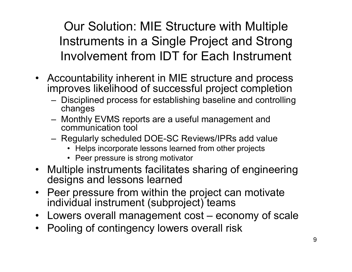Our Solution: MIE Structure with Multiple Instruments in a Single Project and Strong Involvement from IDT for Each Instrument

- Accountability inherent in MIE structure and process improves likelihood of successful project completion
	- Disciplined process for establishing baseline and controlling changes
	- Monthly EVMS reports are a useful management and communication tool
	- Regularly scheduled DOE-SC Reviews/IPRs add value
		- Helps incorporate lessons learned from other projects
		- Peer pressure is strong motivator
- Multiple instruments facilitates sharing of engineering designs and lessons learned
- Peer pressure from within the project can motivate individual instrument (subproject) teams
- Lowers overall management cost economy of scale
- $\bullet$ Pooling of contingency lowers overall risk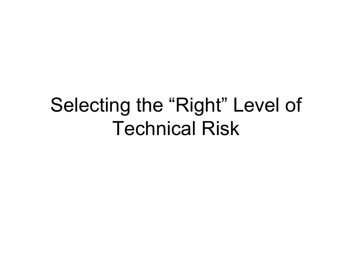#### Selecting the "Right" Level of Technical Risk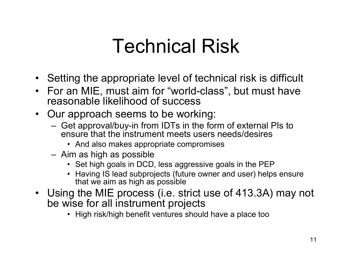## Technical Risk

- Setting the appropriate level of technical risk is difficult
- For an MIE, must aim for "world-class", but must have reasonable likelihood of success
- Our approach seems to be working:
	- Get approval/buy-in from IDTs in the form of external PIs to ensure that the instrument meets users needs/desires
		- And also makes appropriate compromises
	- Aim as high as possible
		- Set high goals in DCD, less aggressive goals in the PEP
		- Having IS lead subprojects (future owner and user) helps ensure that we aim as high as possible
- Using the MIE process (i.e. strict use of 413.3A) may not be wise for all instrument projects
	- High risk/high benefit ventures should have a place too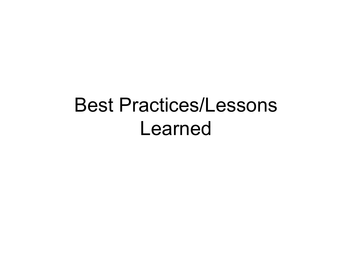#### Best Practices/Lessons Learned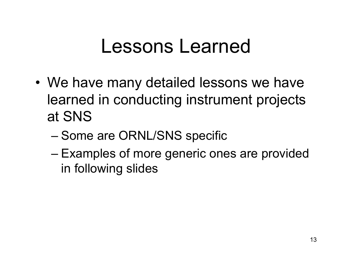#### Lessons Learned

- We have many detailed lessons we have learned in conducting instrument projects at SNS
	- Some are ORNL/SNS specific
	- Examples of more generic ones are provided in following slides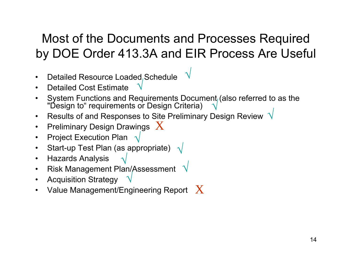#### Most of the Documents and Processes Required by DOE Order 413.3A and EIR Process Are Useful

√

- •Detailed Resource Loaded Schedule √
- •Detailed Cost Estimate
- •System Functions and Requirements Document, (also referred to as the "Design to" requirements or Design Criteria) √
- $\bullet$ Results of and Responses to Site Preliminary Design Review  $\sqrt{ }$
- $\bullet$ Preliminary Design Drawings  $|X|$
- $\bullet$ Project Execution Plan  $\sqrt$
- $\bullet$ Start-up Test Plan (as appropriate)  $\sqrt{}$ √
- $\bullet$ Hazards Analysis
- $\bullet$  Risk Management Plan/Assessment √ √
- $\bullet$ Acquisition Strategy
- •Value Management/Engineering Report  $~\rm\,X$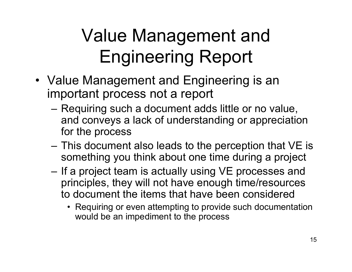## Value Management and Engineering Report

- Value Management and Engineering is an important process not a report
	- Requiring such a document adds little or no value, and conveys a lack of understanding or appreciation for the process
	- This document also leads to the perception that VE is something you think about one time during a project
	- – If a project team is actually using VE processes and principles, they will not have enough time/resources to document the items that have been considered
		- Requiring or even attempting to provide such documentation would be an impediment to the process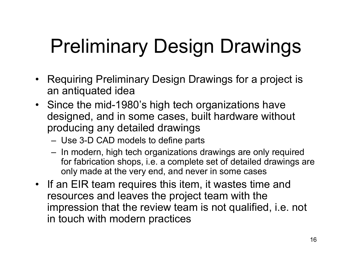## Preliminary Design Drawings

- Requiring Preliminary Design Drawings for a project is an antiquated idea
- Since the mid-1980's high tech organizations have designed, and in some cases, built hardware without producing any detailed drawings
	- Use 3-D CAD models to define parts
	- In modern, high tech organizations drawings are only required for fabrication shops, i.e. a complete set of detailed drawings are only made at the very end, and never in some cases
- If an EIR team requires this item, it wastes time and resources and leaves the project team with the impression that the review team is not qualified, i.e. not in touch with modern practices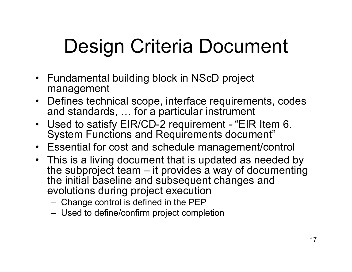## Design Criteria Document

- Fundamental building block in NScD project management
- Defines technical scope, interface requirements, codes and standards, … for a particular instrument
- Used to satisfy EIR/CD-2 requirement "EIR Item 6. System Functions and Requirements document"
- Essential for cost and schedule management/control
- This is a living document that is updated as needed by the subproject team – it provides a way of documenting the initial baseline and subsequent changes and evolutions during project execution
	- Change control is defined in the PEP
	- Used to define/confirm project completion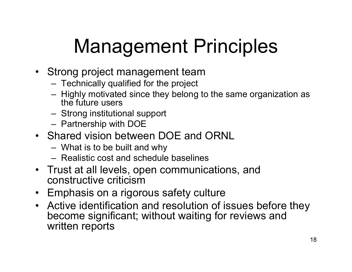## Management Principles

- Strong project management team
	- Technically qualified for the project
	- Highly motivated since they belong to the same organization as the future users
	- Strong institutional support
	- Partnership with DOE
- Shared vision between DOE and ORNL
	- What is to be built and why
	- Realistic cost and schedule baselines
- Trust at all levels, open communications, and constructive criticism
- Emphasis on a rigorous safety culture
- Active identification and resolution of issues before they become significant; without waiting for reviews and written reports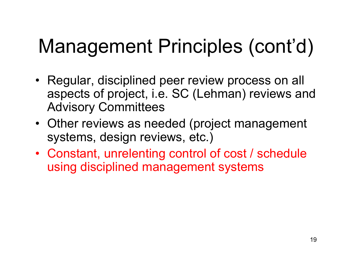# Management Principles (cont'd)

- Regular, disciplined peer review process on all aspects of project, i.e. SC (Lehman) reviews and Advisory Committees
- Other reviews as needed (project management systems, design reviews, etc.)
- Constant, unrelenting control of cost / schedule using disciplined management systems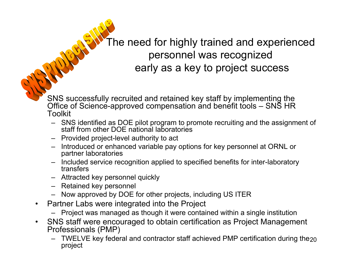The need for highly trained and experienced personnel was recognized early as a key to project success

 SNS successfully recruited and retained key staff by implementing the Office of Science-approved compensation and benefit tools – SNS HR Toolkit

- SNS identified as DOE pilot program to promote recruiting and the assignment of staff from other DOE national laboratories
- Provided project-level authority to act
- Introduced or enhanced variable pay options for key personnel at ORNL or partner laboratories
- Included service recognition applied to specified benefits for inter-laboratory transfers
- Attracted key personnel quickly
- Retained key personnel
- Now approved by DOE for other projects, including US ITER
- • Partner Labs were integrated into the Project
	- Project was managed as though it were contained within a single institution
- $\bullet$  SNS staff were encouraged to obtain certification as Project Management Professionals (PMP)
	- $\,$  TWELVE key federal and contractor staff achieved PMP certification during the $_{20}$ project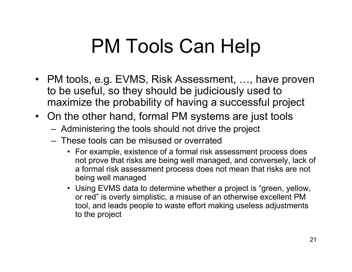## PM Tools Can Help

- PM tools, e.g. EVMS, Risk Assessment, …, have proven to be useful, so they should be judiciously used to maximize the probability of having a successful project
- On the other hand, formal PM systems are just tools
	- Administering the tools should not drive the project
	- These tools can be misused or overrated
		- For example, existence of a formal risk assessment process does not prove that risks are being well managed, and conversely, lack of a formal risk assessment process does not mean that risks are not being well managed
		- Using EVMS data to determine whether a project is "green, yellow, or red" is overly simplistic, a misuse of an otherwise excellent PM tool, and leads people to waste effort making useless adjustments to the project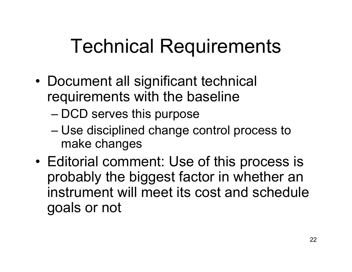## Technical Requirements

- • Document all significant technical requirements with the baseline
	- DCD serves this purpose
	- Use disciplined change control process to make changes
- • Editorial comment: Use of this process is probably the biggest factor in whether an instrument will meet its cost and schedule goals or not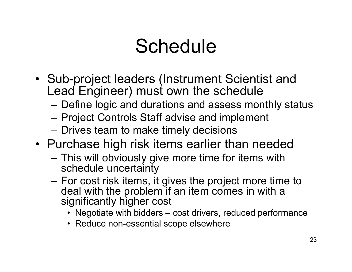## Schedule

- Sub-project leaders (Instrument Scientist and Lead Engineer) must own the schedule
	- Define logic and durations and assess monthly status
	- Project Controls Staff advise and implement
	- –Drives team to make timely decisions
- Purchase high risk items earlier than needed
	- – This will obviously give more time for items with schedule uncertainty
	- – For cost risk items, it gives the project more time to deal with the problem if an item comes in with a significantly higher cost
		- Negotiate with bidders cost drivers, reduced performance
		- Reduce non-essential scope elsewhere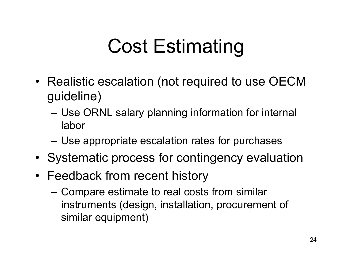## Cost Estimating

- Realistic escalation (not required to use OECM guideline)
	- Use ORNL salary planning information for internal labor
	- Use appropriate escalation rates for purchases
- Systematic process for contingency evaluation
- Feedback from recent history
	- Compare estimate to real costs from similar instruments (design, installation, procurement of similar equipment)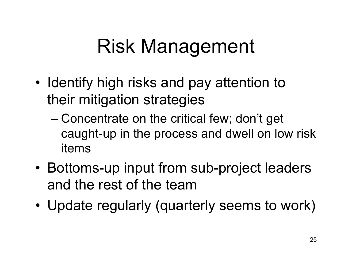## Risk Management

- • Identify high risks and pay attention to their mitigation strategies
	- Concentrate on the critical few; don't get caught-up in the process and dwell on low risk items
- • Bottoms-up input from sub-project leaders and the rest of the team
- •Update regularly (quarterly seems to work)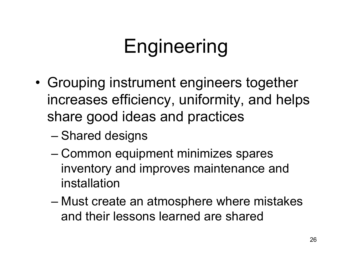## Engineering

- • Grouping instrument engineers together increases efficiency, uniformity, and helps share good ideas and practices
	- Shared designs
	- Common equipment minimizes spares inventory and improves maintenance and installation
	- Must create an atmosphere where mistakes and their lessons learned are shared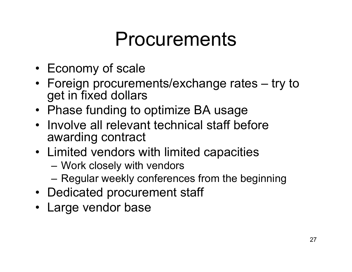#### Procurements

- Economy of scale
- Foreign procurements/exchange rates try to get in fixed dollars
- Phase funding to optimize BA usage
- Involve all relevant technical staff before awarding contract
- Limited vendors with limited capacities
	- Work closely with vendors
	- Regular weekly conferences from the beginning
- Dedicated procurement staff
- Large vendor base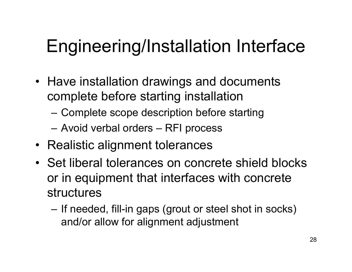#### Engineering/Installation Interface

- Have installation drawings and documents complete before starting installation
	- Complete scope description before starting
	- Avoid verbal orders RFI process
- Realistic alignment tolerances
- Set liberal tolerances on concrete shield blocks or in equipment that interfaces with concrete structures
	- If needed, fill-in gaps (grout or steel shot in socks) and/or allow for alignment adjustment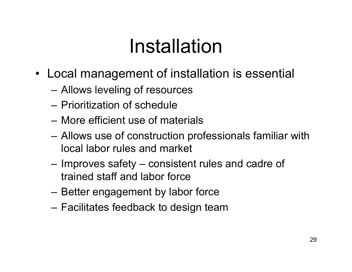## Installation

- Local management of installation is essential
	- Allows leveling of resources
	- Prioritization of schedule
	- More efficient use of materials
	- Allows use of construction professionals familiar with local labor rules and market
	- Improves safety consistent rules and cadre of trained staff and labor force
	- Better engagement by labor force
	- Facilitates feedback to design team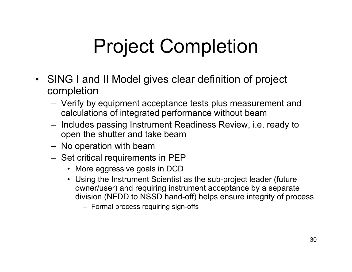## Project Completion

- SING I and II Model gives clear definition of project completion
	- Verify by equipment acceptance tests plus measurement and calculations of integrated performance without beam
	- Includes passing Instrument Readiness Review, i.e. ready to open the shutter and take beam
	- No operation with beam
	- Set critical requirements in PEP
		- More aggressive goals in DCD
		- Using the Instrument Scientist as the sub-project leader (future owner/user) and requiring instrument acceptance by a separate division (NFDD to NSSD hand-off) helps ensure integrity of process
			- Formal process requiring sign-offs